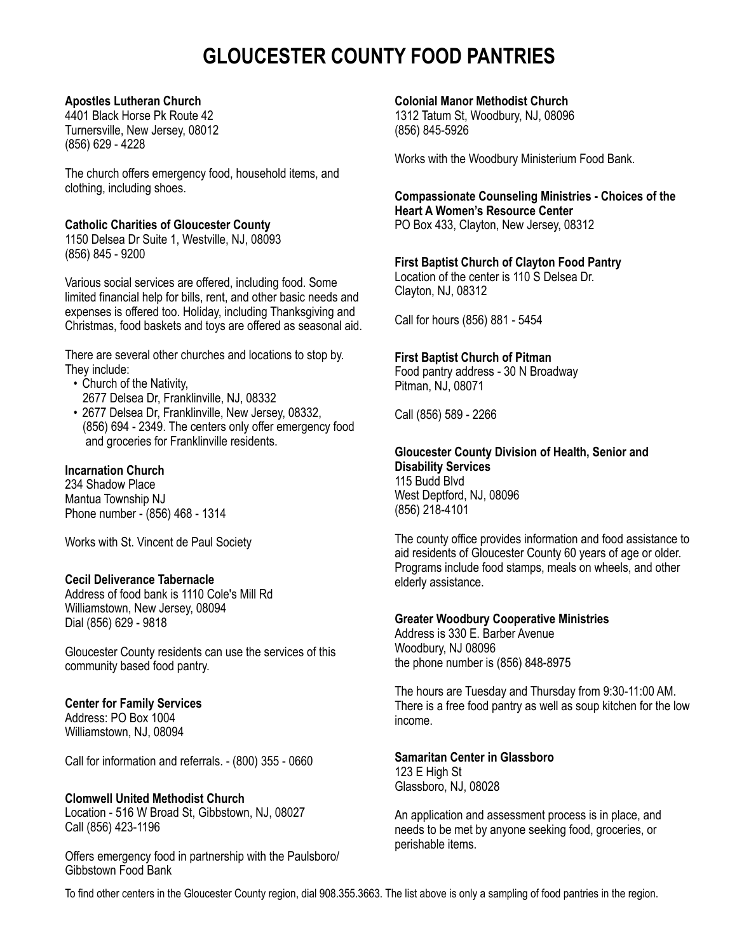# **GLOUCESTER COUNTY FOOD PANTRIES**

#### **Apostles Lutheran Church**

4401 Black Horse Pk Route 42 Turnersville, New Jersey, 08012 (856) 629 - 4228

The church offers emergency food, household items, and clothing, including shoes.

#### **Catholic Charities of Gloucester County**

1150 Delsea Dr Suite 1, Westville, NJ, 08093 (856) 845 - 9200

Various social services are offered, including food. Some limited financial help for bills, rent, and other basic needs and expenses is offered too. Holiday, including Thanksgiving and Christmas, food baskets and toys are offered as seasonal aid.

There are several other churches and locations to stop by. They include:

- Church of the Nativity,
- 2677 Delsea Dr, Franklinville, NJ, 08332
- 2677 Delsea Dr, Franklinville, New Jersey, 08332, (856) 694 - 2349. The centers only offer emergency food and groceries for Franklinville residents.

# **Incarnation Church**

234 Shadow Place Mantua Township NJ Phone number - (856) 468 - 1314

Works with St. Vincent de Paul Society

#### **Cecil Deliverance Tabernacle**

Address of food bank is 1110 Cole's Mill Rd Williamstown, New Jersey, 08094 Dial (856) 629 - 9818

Gloucester County residents can use the services of this community based food pantry.

#### **Center for Family Services**

Address: PO Box 1004 Williamstown, NJ, 08094

Call for information and referrals. - (800) 355 - 0660

#### **Clomwell United Methodist Church**

Location - 516 W Broad St, Gibbstown, NJ, 08027 Call (856) 423-1196

Offers emergency food in partnership with the Paulsboro/ Gibbstown Food Bank

#### **Colonial Manor Methodist Church**

1312 Tatum St, Woodbury, NJ, 08096 (856) 845-5926

Works with the Woodbury Ministerium Food Bank.

# **Compassionate Counseling Ministries - Choices of the Heart A Women's Resource Center**

PO Box 433, Clayton, New Jersey, 08312

# **First Baptist Church of Clayton Food Pantry**

Location of the center is 110 S Delsea Dr. Clayton, NJ, 08312

Call for hours (856) 881 - 5454

# **First Baptist Church of Pitman**

Food pantry address - 30 N Broadway Pitman, NJ, 08071

Call (856) 589 - 2266

#### **Gloucester County Division of Health, Senior and Disability Services** 115 Budd Blvd West Deptford, NJ, 08096

(856) 218-4101

The county office provides information and food assistance to aid residents of Gloucester County 60 years of age or older. Programs include food stamps, meals on wheels, and other elderly assistance.

#### **Greater Woodbury Cooperative Ministries**

Address is 330 E. Barber Avenue Woodbury, NJ 08096 the phone number is (856) 848-8975

The hours are Tuesday and Thursday from 9:30-11:00 AM. There is a free food pantry as well as soup kitchen for the low income.

#### **Samaritan Center in Glassboro**

123 E High St Glassboro, NJ, 08028

An application and assessment process is in place, and needs to be met by anyone seeking food, groceries, or perishable items.

To find other centers in the Gloucester County region, dial 908.355.3663. The list above is only a sampling of food pantries in the region.